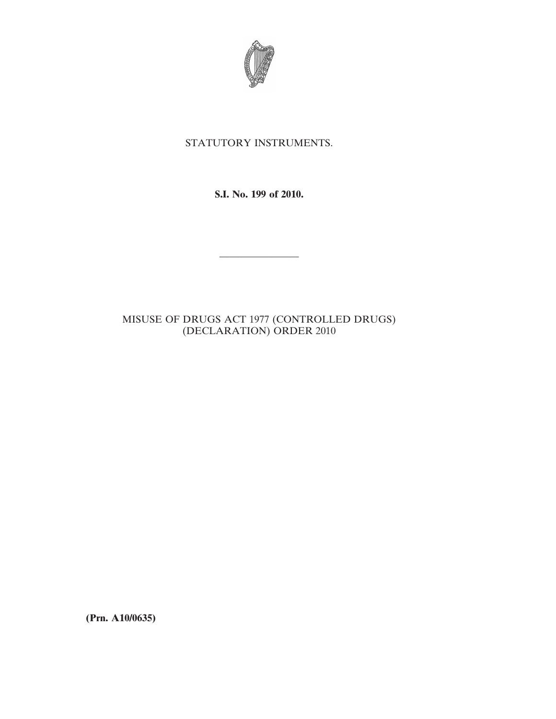

# STATUTORY INSTRUMENTS.

**S.I. No. 199 of 2010.**

————————

# MISUSE OF DRUGS ACT 1977 (CONTROLLED DRUGS) (DECLARATION) ORDER 2010

**(Prn. A10/0635)**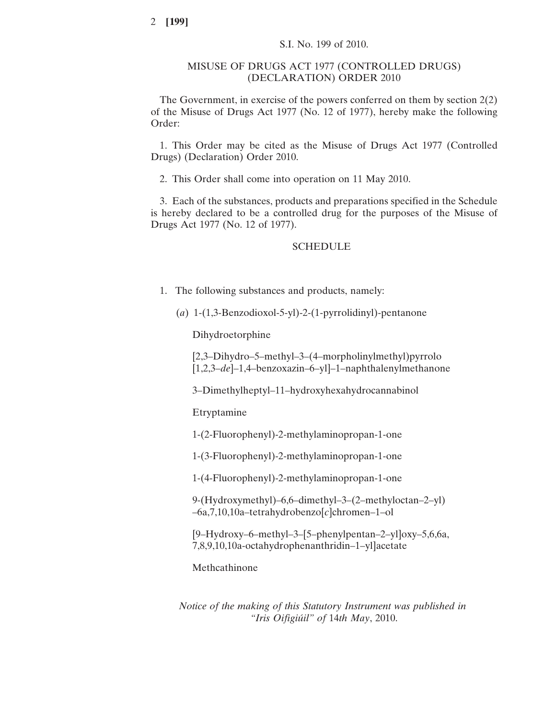## MISUSE OF DRUGS ACT 1977 (CONTROLLED DRUGS) (DECLARATION) ORDER 2010

The Government, in exercise of the powers conferred on them by section 2(2) of the Misuse of Drugs Act 1977 (No. 12 of 1977), hereby make the following Order:

1. This Order may be cited as the Misuse of Drugs Act 1977 (Controlled Drugs) (Declaration) Order 2010.

2. This Order shall come into operation on 11 May 2010.

3. Each of the substances, products and preparations specified in the Schedule is hereby declared to be a controlled drug for the purposes of the Misuse of Drugs Act 1977 (No. 12 of 1977).

#### SCHEDULE

- 1. The following substances and products, namely:
	- (*a*) 1-(1,3-Benzodioxol-5-yl)-2-(1-pyrrolidinyl)-pentanone

Dihydroetorphine

[2,3–Dihydro–5–methyl–3–(4–morpholinylmethyl)pyrrolo [1,2,3–*de*]–1,4–benzoxazin–6–yl]–1–naphthalenylmethanone

3–Dimethylheptyl–11–hydroxyhexahydrocannabinol

Etryptamine

1-(2-Fluorophenyl)-2-methylaminopropan-1-one

1-(3-Fluorophenyl)-2-methylaminopropan-1-one

1-(4-Fluorophenyl)-2-methylaminopropan-1-one

9-(Hydroxymethyl)–6,6–dimethyl–3–(2–methyloctan–2–yl) –6a,7,10,10a–tetrahydrobenzo[*c*]chromen–1–ol

[9–Hydroxy–6–methyl–3–[5–phenylpentan–2–yl]oxy–5,6,6a, 7,8,9,10,10a-octahydrophenanthridin–1–yl]acetate

Methcathinone

*Notice of the making of this Statutory Instrument was published in "Iris Oifigiúil" of* 14*th May*, 2010.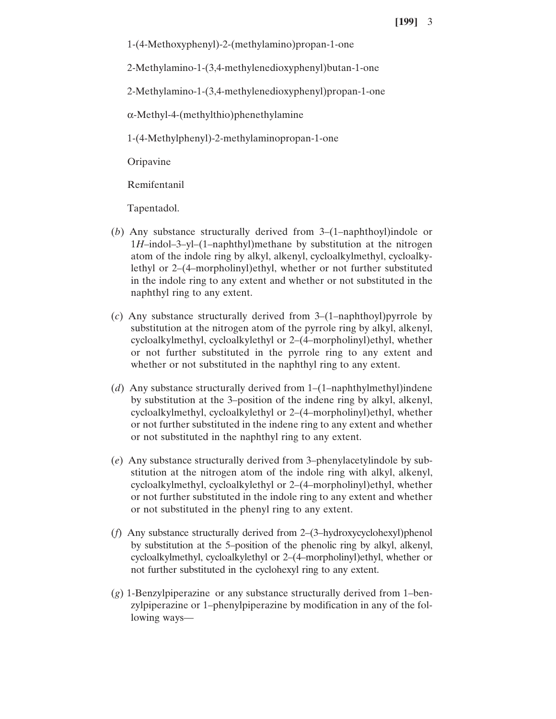1-(4-Methoxyphenyl)-2-(methylamino)propan-1-one

2-Methylamino-1-(3,4-methylenedioxyphenyl)butan-1-one

2-Methylamino-1-(3,4-methylenedioxyphenyl)propan-1-one

α-Methyl-4-(methylthio)phenethylamine

1-(4-Methylphenyl)-2-methylaminopropan-1-one

Oripavine

Remifentanil

Tapentadol.

- (*b*) Any substance structurally derived from 3–(1–naphthoyl)indole or 1*H*–indol–3–yl–(1–naphthyl)methane by substitution at the nitrogen atom of the indole ring by alkyl, alkenyl, cycloalkylmethyl, cycloalkylethyl or 2–(4–morpholinyl)ethyl, whether or not further substituted in the indole ring to any extent and whether or not substituted in the naphthyl ring to any extent.
- (*c*) Any substance structurally derived from 3–(1–naphthoyl)pyrrole by substitution at the nitrogen atom of the pyrrole ring by alkyl, alkenyl, cycloalkylmethyl, cycloalkylethyl or 2–(4–morpholinyl)ethyl, whether or not further substituted in the pyrrole ring to any extent and whether or not substituted in the naphthyl ring to any extent.
- (*d*) Any substance structurally derived from 1–(1–naphthylmethyl)indene by substitution at the 3–position of the indene ring by alkyl, alkenyl, cycloalkylmethyl, cycloalkylethyl or 2–(4–morpholinyl)ethyl, whether or not further substituted in the indene ring to any extent and whether or not substituted in the naphthyl ring to any extent.
- (*e*) Any substance structurally derived from 3–phenylacetylindole by substitution at the nitrogen atom of the indole ring with alkyl, alkenyl, cycloalkylmethyl, cycloalkylethyl or 2–(4–morpholinyl)ethyl, whether or not further substituted in the indole ring to any extent and whether or not substituted in the phenyl ring to any extent.
- (*f*) Any substance structurally derived from 2–(3–hydroxycyclohexyl)phenol by substitution at the 5–position of the phenolic ring by alkyl, alkenyl, cycloalkylmethyl, cycloalkylethyl or 2–(4–morpholinyl)ethyl, whether or not further substituted in the cyclohexyl ring to any extent.
- (*g*) 1-Benzylpiperazine or any substance structurally derived from 1–benzylpiperazine or 1–phenylpiperazine by modification in any of the following ways—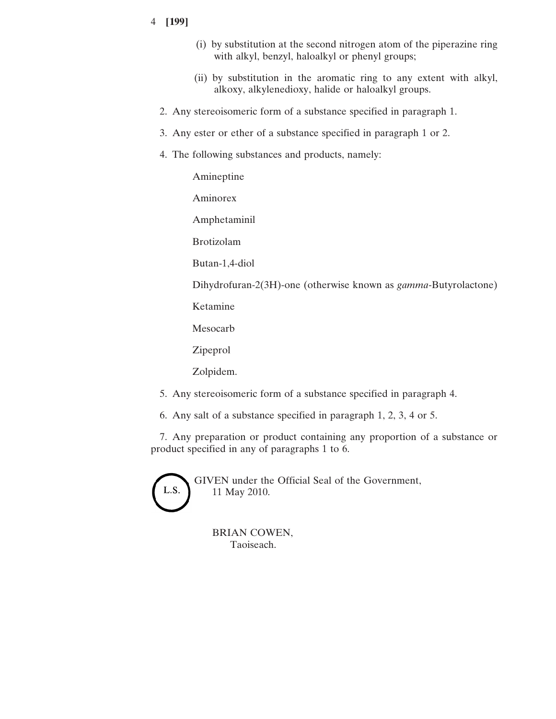## 4 **[199]**

- (i) by substitution at the second nitrogen atom of the piperazine ring with alkyl, benzyl, haloalkyl or phenyl groups;
- (ii) by substitution in the aromatic ring to any extent with alkyl, alkoxy, alkylenedioxy, halide or haloalkyl groups.
- 2. Any stereoisomeric form of a substance specified in paragraph 1.
- 3. Any ester or ether of a substance specified in paragraph 1 or 2.
- 4. The following substances and products, namely:

Amineptine

Aminorex

Amphetaminil

Brotizolam

Butan-1,4-diol

Dihydrofuran-2(3H)-one (otherwise known as *gamma*-Butyrolactone)

Ketamine

Mesocarb

Zipeprol

Zolpidem.

- 5. Any stereoisomeric form of a substance specified in paragraph 4.
- 6. Any salt of a substance specified in paragraph 1, 2, 3, 4 or 5.

7. Any preparation or product containing any proportion of a substance or product specified in any of paragraphs 1 to 6.



GIVEN under the Official Seal of the Government, 11 May 2010.

BRIAN COWEN, Taoiseach.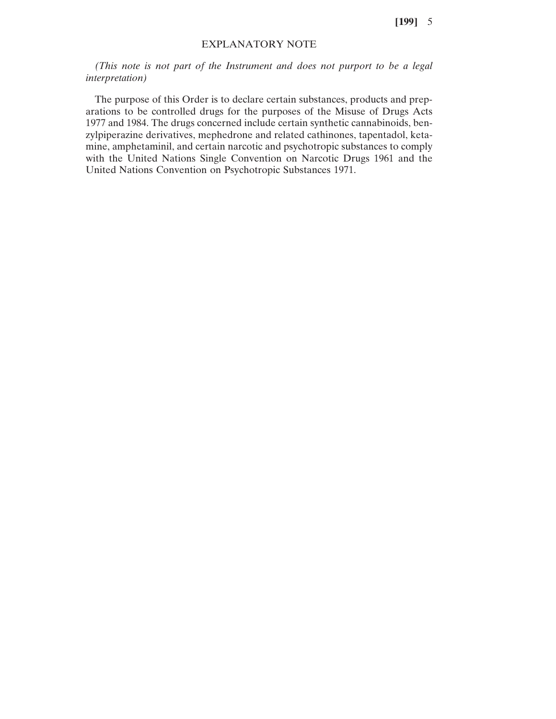**[199]** 5

### EXPLANATORY NOTE

*(This note is not part of the Instrument and does not purport to be a legal interpretation)*

The purpose of this Order is to declare certain substances, products and preparations to be controlled drugs for the purposes of the Misuse of Drugs Acts 1977 and 1984. The drugs concerned include certain synthetic cannabinoids, benzylpiperazine derivatives, mephedrone and related cathinones, tapentadol, ketamine, amphetaminil, and certain narcotic and psychotropic substances to comply with the United Nations Single Convention on Narcotic Drugs 1961 and the United Nations Convention on Psychotropic Substances 1971.